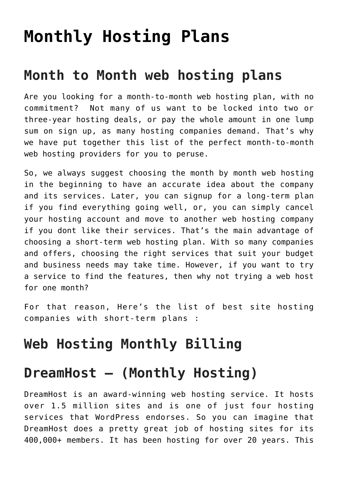# **[Monthly Hosting Plans](https://www.earnmoneyke.com/webhosting/monthly-hosting-plans/)**

### **Month to Month web hosting plans**

Are you looking for a month-to-month web hosting plan, with no commitment? Not many of us want to be locked into two or three-year hosting deals, or pay the whole amount in one lump sum on sign up, as many hosting companies demand. That's why we have put together this list of the perfect month-to-month web hosting providers for you to peruse.

So, we always suggest choosing the month by month web hosting in the beginning to have an accurate idea about the company and its services. Later, you can signup for a long-term plan if you find everything going well, or, you can simply cancel your hosting account and move to another web hosting company if you dont like their services. That's the main advantage of choosing a short-term web hosting plan. With so many companies and offers, choosing the right services that suit your budget and business needs may take time. However, if you want to try a service to find the features, then why not trying a web host for one month?

For that reason, Here's the list of best site hosting companies with short-term plans :

### **Web Hosting Monthly Billing**

#### **DreamHost – (Monthly Hosting)**

DreamHost is an award-winning web hosting service. It hosts over 1.5 million sites and is one of just four hosting services that WordPress endorses. So you can imagine that DreamHost does a pretty great job of hosting sites for its 400,000+ members. It has been hosting for over 20 years. This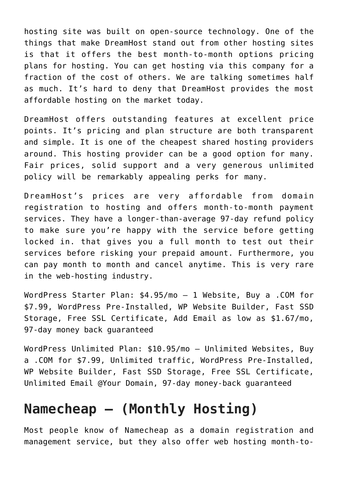hosting site was built on open-source technology. One of the things that make DreamHost stand out from other hosting sites is that it offers the best month-to-month options pricing plans for hosting. You can get hosting via this company for a fraction of the cost of others. We are talking sometimes half as much. It's hard to deny that DreamHost provides the most affordable hosting on the market today.

DreamHost offers outstanding features at excellent price points. It's pricing and plan structure are both transparent and simple. It is one of the cheapest shared hosting providers around. This hosting provider can be a good option for many. Fair prices, solid support and a very generous unlimited policy will be remarkably appealing perks for many.

DreamHost's prices are very affordable from domain registration to hosting and offers month-to-month payment services. They have a longer-than-average 97-day refund policy to make sure you're happy with the service before getting locked in. that gives you a full month to test out their services before risking your prepaid amount. Furthermore, you can pay month to month and cancel anytime. This is very rare in the web-hosting industry.

WordPress Starter Plan: \$4.95/mo – 1 Website, Buy a .COM for \$7.99, WordPress Pre-Installed, WP Website Builder, Fast SSD Storage, Free SSL Certificate, Add Email as low as \$1.67/mo, 97-day money back guaranteed

WordPress Unlimited Plan: \$10.95/mo – Unlimited Websites, Buy a .COM for \$7.99, Unlimited traffic, WordPress Pre-Installed, WP Website Builder, Fast SSD Storage, Free SSL Certificate, Unlimited Email @Your Domain, 97-day money-back guaranteed

## **Namecheap – (Monthly Hosting)**

Most people know of Namecheap as a domain registration and management service, but they also offer web hosting month-to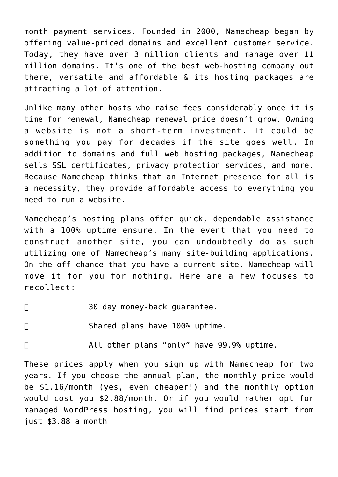month payment services. Founded in 2000, Namecheap began by offering value-priced domains and excellent customer service. Today, they have over 3 million clients and manage over 11 million domains. It's one of the best web-hosting company out there, versatile and affordable & its hosting packages are attracting a lot of attention.

Unlike many other hosts who raise fees considerably once it is time for renewal, Namecheap renewal price doesn't grow. Owning a website is not a short-term investment. It could be something you pay for decades if the site goes well. In addition to domains and full web hosting packages, Namecheap sells SSL certificates, privacy protection services, and more. Because Namecheap thinks that an Internet presence for all is a necessity, they provide affordable access to everything you need to run a website.

Namecheap's hosting plans offer quick, dependable assistance with a 100% uptime ensure. In the event that you need to construct another site, you can undoubtedly do as such utilizing one of Namecheap's many site-building applications. On the off chance that you have a current site, Namecheap will move it for you for nothing. Here are a few focuses to recollect:

- □ 30 day money-back guarantee.
- 

□ Shared plans have 100% uptime.

⦁ All other plans "only" have 99.9% uptime.

These prices apply when you sign up with Namecheap for two years. If you choose the annual plan, the monthly price would be \$1.16/month (yes, even cheaper!) and the monthly option would cost you \$2.88/month. Or if you would rather opt for managed WordPress hosting, you will find prices start from just \$3.88 a month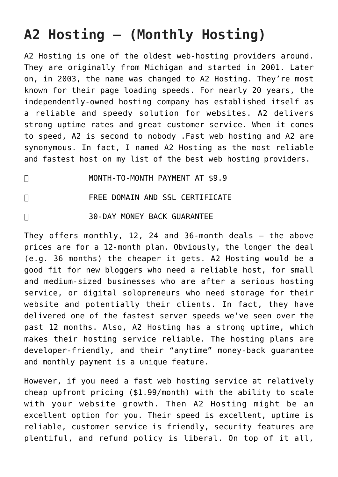# **A2 Hosting – (Monthly Hosting)**

A2 Hosting is one of the oldest web-hosting providers around. They are originally from Michigan and started in 2001. Later on, in 2003, the name was changed to A2 Hosting. They're most known for their page loading speeds. For nearly 20 years, the independently-owned hosting company has established itself as a reliable and speedy solution for websites. A2 delivers strong uptime rates and great customer service. When it comes to speed, A2 is second to nobody .Fast web hosting and A2 are synonymous. In fact, I named A2 Hosting as the most reliable and fastest host on my list of the best web hosting providers.

⦁ MONTH-TO-MONTH PAYMENT AT \$9.9

⦁ FREE DOMAIN AND SSL CERTIFICATE

#### □ 30-DAY MONEY BACK GUARANTEE

They offers monthly, 12, 24 and 36-month deals – the above prices are for a 12-month plan. Obviously, the longer the deal (e.g. 36 months) the cheaper it gets. A2 Hosting would be a good fit for new bloggers who need a reliable host, for small and medium-sized businesses who are after a serious hosting service, or digital solopreneurs who need storage for their website and potentially their clients. In fact, they have delivered one of the fastest server speeds we've seen over the past 12 months. Also, A2 Hosting has a strong uptime, which makes their hosting service reliable. The hosting plans are developer-friendly, and their "anytime" money-back guarantee and monthly payment is a unique feature.

However, if you need a fast web hosting service at relatively cheap upfront pricing (\$1.99/month) with the ability to scale with your website growth. Then A2 Hosting might be an excellent option for you. Their speed is excellent, uptime is reliable, customer service is friendly, security features are plentiful, and refund policy is liberal. On top of it all,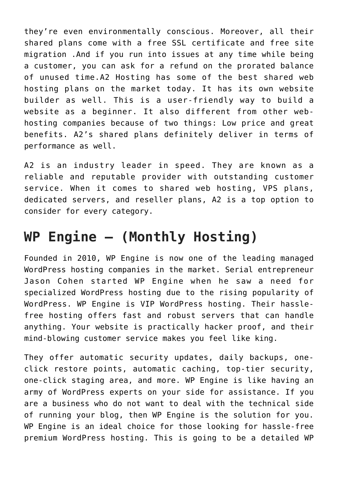they're even environmentally conscious. Moreover, all their shared plans come with a free SSL certificate and free site migration .And if you run into issues at any time while being a customer, you can ask for a refund on the prorated balance of unused time.A2 Hosting has some of the best shared web hosting plans on the market today. It has its own website builder as well. This is a user-friendly way to build a website as a beginner. It also different from other webhosting companies because of two things: Low price and great benefits. A2's shared plans definitely deliver in terms of performance as well.

A2 is an industry leader in speed. They are known as a reliable and reputable provider with outstanding customer service. When it comes to shared web hosting, VPS plans, dedicated servers, and reseller plans, A2 is a top option to consider for every category.

### **WP Engine – (Monthly Hosting)**

Founded in 2010, WP Engine is now one of the leading managed WordPress hosting companies in the market. Serial entrepreneur Jason Cohen started WP Engine when he saw a need for specialized WordPress hosting due to the rising popularity of WordPress. WP Engine is VIP WordPress hosting. Their hasslefree hosting offers fast and robust servers that can handle anything. Your website is practically hacker proof, and their mind-blowing customer service makes you feel like king.

They offer automatic security updates, daily backups, oneclick restore points, automatic caching, top-tier security, one-click staging area, and more. WP Engine is like having an army of WordPress experts on your side for assistance. If you are a business who do not want to deal with the technical side of running your blog, then WP Engine is the solution for you. WP Engine is an ideal choice for those looking for hassle-free premium WordPress hosting. This is going to be a detailed WP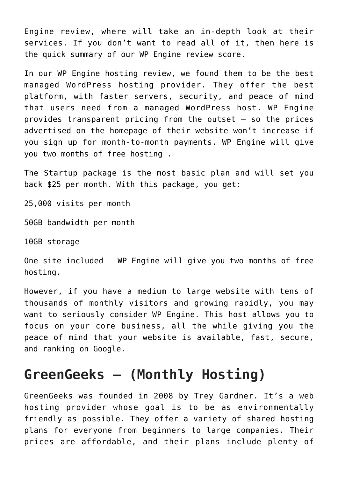Engine review, where will take an in-depth look at their services. If you don't want to read all of it, then here is the quick summary of our WP Engine review score.

In our WP Engine hosting review, we found them to be the best managed WordPress hosting provider. They offer the best platform, with faster servers, security, and peace of mind that users need from a managed WordPress host. WP Engine provides transparent pricing from the outset – so the prices advertised on the homepage of their website won't increase if you sign up for month-to-month payments. WP Engine will give you two months of free hosting .

The Startup package is the most basic plan and will set you back \$25 per month. With this package, you get:

25,000 visits per month

50GB bandwidth per month

10GB storage

One site included WP Engine will give you two months of free hosting.

However, if you have a medium to large website with tens of thousands of monthly visitors and growing rapidly, you may want to seriously consider WP Engine. This host allows you to focus on your core business, all the while giving you the peace of mind that your website is available, fast, secure, and ranking on Google.

#### **GreenGeeks – (Monthly Hosting)**

GreenGeeks was founded in 2008 by Trey Gardner. It's a web hosting provider whose goal is to be as environmentally friendly as possible. They offer a variety of shared hosting plans for everyone from beginners to large companies. Their prices are affordable, and their plans include plenty of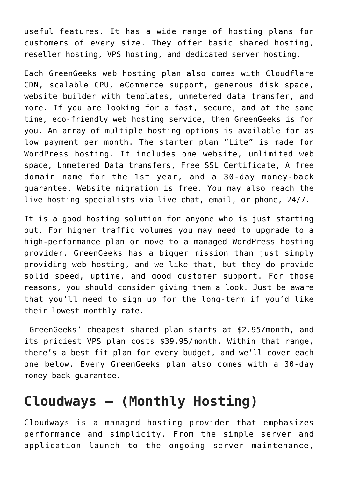useful features. It has a wide range of hosting plans for customers of every size. They offer basic shared hosting, reseller hosting, VPS hosting, and dedicated server hosting.

Each GreenGeeks web hosting plan also comes with Cloudflare CDN, scalable CPU, eCommerce support, generous disk space, website builder with templates, unmetered data transfer, and more. If you are looking for a fast, secure, and at the same time, eco-friendly web hosting service, then GreenGeeks is for you. An array of multiple hosting options is available for as low payment per month. The starter plan "Lite" is made for WordPress hosting. It includes one website, unlimited web space, Unmetered Data transfers, Free SSL Certificate, A free domain name for the 1st year, and a 30-day money-back guarantee. Website migration is free. You may also reach the live hosting specialists via live chat, email, or phone, 24/7.

It is a good hosting solution for anyone who is just starting out. For higher traffic volumes you may need to upgrade to a high-performance plan or move to a managed WordPress hosting provider. GreenGeeks has a bigger mission than just simply providing web hosting, and we like that, but they do provide solid speed, uptime, and good customer support. For those reasons, you should consider giving them a look. Just be aware that you'll need to sign up for the long-term if you'd like their lowest monthly rate.

 GreenGeeks' cheapest shared plan starts at \$2.95/month, and its priciest VPS plan costs \$39.95/month. Within that range, there's a best fit plan for every budget, and we'll cover each one below. Every GreenGeeks plan also comes with a 30-day money back guarantee.

#### **Cloudways – (Monthly Hosting)**

Cloudways is a managed hosting provider that emphasizes performance and simplicity. From the simple server and application launch to the ongoing server maintenance,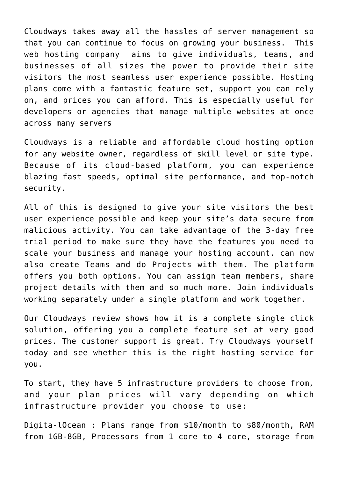Cloudways takes away all the hassles of server management so that you can continue to focus on growing your business. This web hosting company aims to give individuals, teams, and businesses of all sizes the power to provide their site visitors the most seamless user experience possible. Hosting plans come with a fantastic feature set, support you can rely on, and prices you can afford. This is especially useful for developers or agencies that manage multiple websites at once across many servers

Cloudways is a reliable and affordable cloud hosting option for any website owner, regardless of skill level or site type. Because of its cloud-based platform, you can experience blazing fast speeds, optimal site performance, and top-notch security.

All of this is designed to give your site visitors the best user experience possible and keep your site's data secure from malicious activity. You can take advantage of the 3-day free trial period to make sure they have the features you need to scale your business and manage your hosting account. can now also create Teams and do Projects with them. The platform offers you both options. You can assign team members, share project details with them and so much more. Join individuals working separately under a single platform and work together.

Our Cloudways review shows how it is a complete single click solution, offering you a complete feature set at very good prices. The customer support is great. Try Cloudways yourself today and see whether this is the right hosting service for you.

To start, they have 5 infrastructure providers to choose from, and your plan prices will vary depending on which infrastructure provider you choose to use:

Digita-lOcean : Plans range from \$10/month to \$80/month, RAM from 1GB-8GB, Processors from 1 core to 4 core, storage from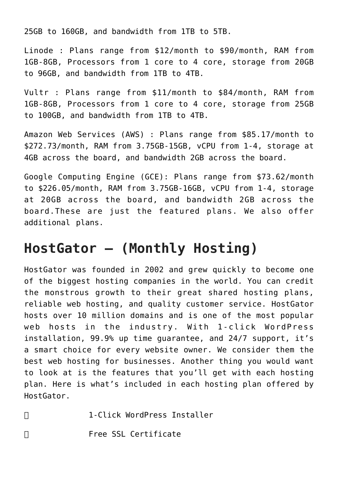25GB to 160GB, and bandwidth from 1TB to 5TB.

Linode : Plans range from \$12/month to \$90/month, RAM from 1GB-8GB, Processors from 1 core to 4 core, storage from 20GB to 96GB, and bandwidth from 1TB to 4TB.

Vultr : Plans range from \$11/month to \$84/month, RAM from 1GB-8GB, Processors from 1 core to 4 core, storage from 25GB to 100GB, and bandwidth from 1TB to 4TB.

Amazon Web Services (AWS) : Plans range from \$85.17/month to \$272.73/month, RAM from 3.75GB-15GB, vCPU from 1-4, storage at 4GB across the board, and bandwidth 2GB across the board.

Google Computing Engine (GCE): Plans range from \$73.62/month to \$226.05/month, RAM from 3.75GB-16GB, vCPU from 1-4, storage at 20GB across the board, and bandwidth 2GB across the board.These are just the featured plans. We also offer additional plans.

#### **HostGator – (Monthly Hosting)**

HostGator was founded in 2002 and grew quickly to become one of the biggest hosting companies in the world. You can credit the monstrous growth to their great shared hosting plans, reliable web hosting, and quality customer service. HostGator hosts over 10 million domains and is one of the most popular web hosts in the industry. With 1-click WordPress installation, 99.9% up time guarantee, and 24/7 support, it's a smart choice for every website owner. We consider them the best web hosting for businesses. Another thing you would want to look at is the features that you'll get with each hosting plan. Here is what's included in each hosting plan offered by HostGator.

⦁ 1-Click WordPress Installer

⦁ Free SSL Certificate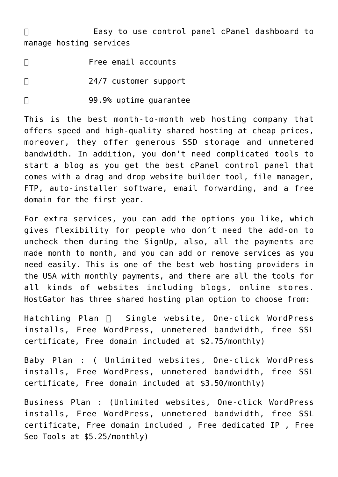□ Basy to use control panel cPanel dashboard to manage hosting services

- □ Free email accounts □ 24/7 customer support
- □ 99.9% uptime quarantee

This is the best month-to-month web hosting company that offers speed and high-quality shared hosting at cheap prices, moreover, they offer generous SSD storage and unmetered bandwidth. In addition, you don't need complicated tools to start a blog as you get the best cPanel control panel that comes with a drag and drop website builder tool, file manager, FTP, auto-installer software, email forwarding, and a free domain for the first year.

For extra services, you can add the options you like, which gives flexibility for people who don't need the add-on to uncheck them during the SignUp, also, all the payments are made month to month, and you can add or remove services as you need easily. This is one of the best web hosting providers in the USA with monthly payments, and there are all the tools for all kinds of websites including blogs, online stores. HostGator has three shared hosting plan option to choose from:

Hatchling Plan  $\Box$  Single website, One-click WordPress installs, Free WordPress, unmetered bandwidth, free SSL certificate, Free domain included at \$2.75/monthly)

Baby Plan : ( Unlimited websites, One-click WordPress installs, Free WordPress, unmetered bandwidth, free SSL certificate, Free domain included at \$3.50/monthly)

Business Plan : (Unlimited websites, One-click WordPress installs, Free WordPress, unmetered bandwidth, free SSL certificate, Free domain included , Free dedicated IP , Free Seo Tools at \$5.25/monthly)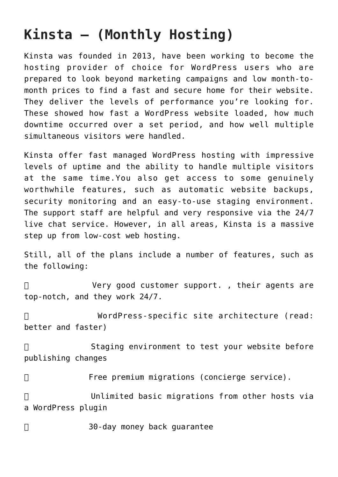# **Kinsta – (Monthly Hosting)**

Kinsta was founded in 2013, have been working to become the hosting provider of choice for WordPress users who are prepared to look beyond marketing campaigns and low month-tomonth prices to find a fast and secure home for their website. They deliver the levels of performance you're looking for. These showed how fast a WordPress website loaded, how much downtime occurred over a set period, and how well multiple simultaneous visitors were handled.

Kinsta offer fast managed WordPress hosting with impressive levels of uptime and the ability to handle multiple visitors at the same time.You also get access to some genuinely worthwhile features, such as automatic website backups, security monitoring and an easy-to-use staging environment. The support staff are helpful and very responsive via the 24/7 live chat service. However, in all areas, Kinsta is a massive step up from low-cost web hosting.

Still, all of the plans include a number of features, such as the following:

□ Very good customer support., their agents are top-notch, and they work 24/7.

⦁ WordPress-specific site architecture (read: better and faster)

□ Staging environment to test your website before publishing changes

⦁ Free premium migrations (concierge service).

⦁ Unlimited basic migrations from other hosts via a WordPress plugin

□ 30-day money back quarantee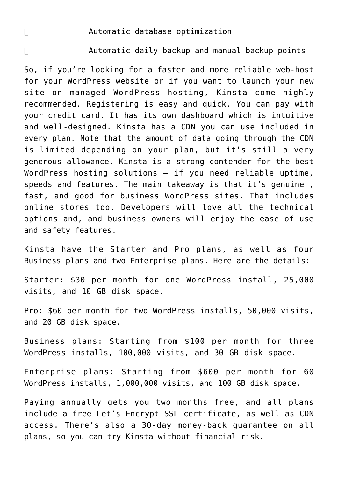#### ⦁ Automatic database optimization

⦁ Automatic daily backup and manual backup points

So, if you're looking for a faster and more reliable web-host for your WordPress website or if you want to launch your new site on managed WordPress hosting, Kinsta come highly recommended. Registering is easy and quick. You can pay with your credit card. It has its own dashboard which is intuitive and well-designed. Kinsta has a CDN you can use included in every plan. Note that the amount of data going through the CDN is limited depending on your plan, but it's still a very generous allowance. Kinsta is a strong contender for the best WordPress hosting solutions – if you need reliable uptime, speeds and features. The main takeaway is that it's genuine, fast, and good for business WordPress sites. That includes online stores too. Developers will love all the technical options and, and business owners will enjoy the ease of use and safety features.

Kinsta have the Starter and Pro plans, as well as four Business plans and two Enterprise plans. Here are the details:

Starter: \$30 per month for one WordPress install, 25,000 visits, and 10 GB disk space.

Pro: \$60 per month for two WordPress installs, 50,000 visits, and 20 GB disk space.

Business plans: Starting from \$100 per month for three WordPress installs, 100,000 visits, and 30 GB disk space.

Enterprise plans: Starting from \$600 per month for 60 WordPress installs, 1,000,000 visits, and 100 GB disk space.

Paying annually gets you two months free, and all plans include a free Let's Encrypt SSL certificate, as well as CDN access. There's also a 30-day money-back guarantee on all plans, so you can try Kinsta without financial risk.